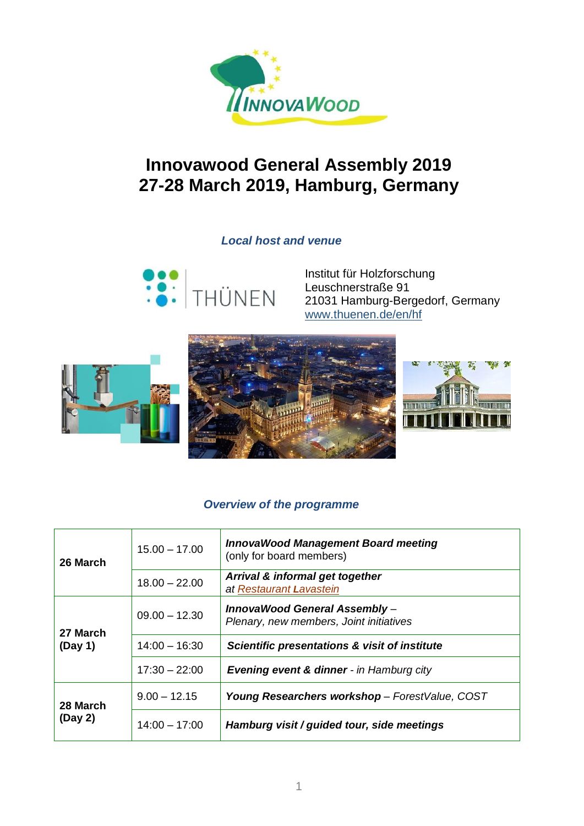

# **Innovawood General Assembly 2019 27-28 March 2019, Hamburg, Germany**

### *Local host and venue*



Institut für Holzforschung Leuschnerstraße 91 21031 Hamburg-Bergedorf, Germany [www.thuenen.de/en/hf](http://www.thuenen.de/en/hf)



### *Overview of the programme*

| 26 March            | $15.00 - 17.00$ | <b>InnovaWood Management Board meeting</b><br>(only for board members)  |
|---------------------|-----------------|-------------------------------------------------------------------------|
|                     | $18.00 - 22.00$ | Arrival & informal get together<br>at Restaurant Lavastein              |
| 27 March<br>(Day 1) | $09.00 - 12.30$ | InnovaWood General Assembly-<br>Plenary, new members, Joint initiatives |
|                     | $14:00 - 16:30$ | Scientific presentations & visit of institute                           |
|                     | $17:30 - 22:00$ | <b>Evening event &amp; dinner</b> - in Hamburg city                     |
| 28 March<br>(Day 2) | $9.00 - 12.15$  | Young Researchers workshop - ForestValue, COST                          |
|                     | $14:00 - 17:00$ | Hamburg visit / guided tour, side meetings                              |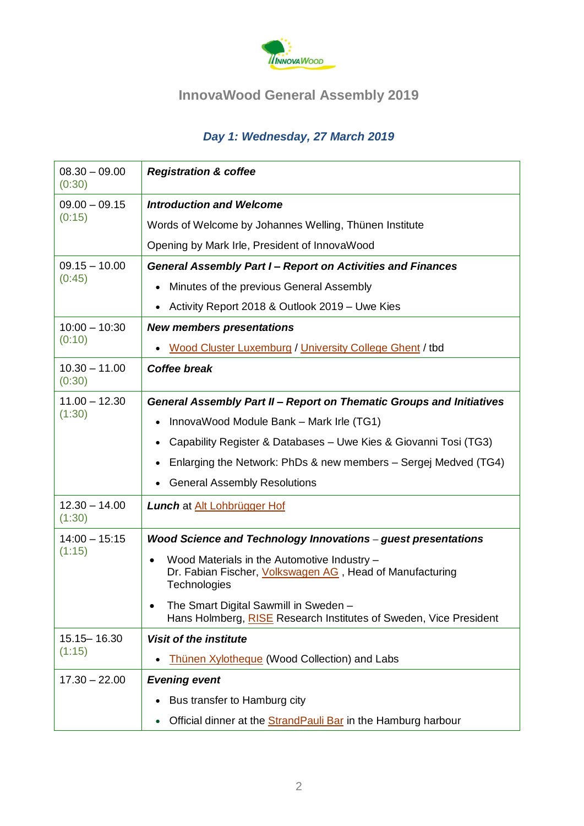

# **InnovaWood General Assembly 2019**

## *Day 1: Wednesday, 27 March 2019*

| $08.30 - 09.00$<br>(0:30) | <b>Registration &amp; coffee</b>                                                                                                     |  |  |
|---------------------------|--------------------------------------------------------------------------------------------------------------------------------------|--|--|
| $09.00 - 09.15$<br>(0:15) | <b>Introduction and Welcome</b>                                                                                                      |  |  |
|                           | Words of Welcome by Johannes Welling, Thünen Institute                                                                               |  |  |
|                           | Opening by Mark Irle, President of InnovaWood                                                                                        |  |  |
| $09.15 - 10.00$<br>(0:45) | <b>General Assembly Part I- Report on Activities and Finances</b>                                                                    |  |  |
|                           | Minutes of the previous General Assembly<br>$\bullet$                                                                                |  |  |
|                           | Activity Report 2018 & Outlook 2019 - Uwe Kies<br>$\bullet$                                                                          |  |  |
| $10:00 - 10:30$<br>(0:10) | <b>New members presentations</b>                                                                                                     |  |  |
|                           | Wood Cluster Luxemburg / University College Ghent / tbd<br>$\bullet$                                                                 |  |  |
| $10.30 - 11.00$<br>(0:30) | <b>Coffee break</b>                                                                                                                  |  |  |
| $11.00 - 12.30$<br>(1:30) | General Assembly Part II - Report on Thematic Groups and Initiatives                                                                 |  |  |
|                           | InnovaWood Module Bank - Mark Irle (TG1)                                                                                             |  |  |
|                           | Capability Register & Databases - Uwe Kies & Giovanni Tosi (TG3)                                                                     |  |  |
|                           | Enlarging the Network: PhDs & new members – Sergej Medved (TG4)                                                                      |  |  |
|                           | <b>General Assembly Resolutions</b><br>$\bullet$                                                                                     |  |  |
| $12.30 - 14.00$<br>(1:30) | Lunch at Alt Lohbrügger Hof                                                                                                          |  |  |
| $14:00 - 15:15$<br>(1:15) | Wood Science and Technology Innovations - guest presentations                                                                        |  |  |
|                           | Wood Materials in the Automotive Industry -<br>$\bullet$<br>Dr. Fabian Fischer, Volkswagen AG, Head of Manufacturing<br>Technologies |  |  |
|                           | The Smart Digital Sawmill in Sweden –<br>Hans Holmberg, RISE Research Institutes of Sweden, Vice President                           |  |  |
| 15.15 - 16.30             | <b>Visit of the institute</b>                                                                                                        |  |  |
| (1:15)                    | <b>Thünen Xylotheque (Wood Collection) and Labs</b><br>$\bullet$                                                                     |  |  |
| $17.30 - 22.00$           | <b>Evening event</b>                                                                                                                 |  |  |
|                           | Bus transfer to Hamburg city                                                                                                         |  |  |
|                           | Official dinner at the <b>StrandPauli Bar</b> in the Hamburg harbour<br>$\bullet$                                                    |  |  |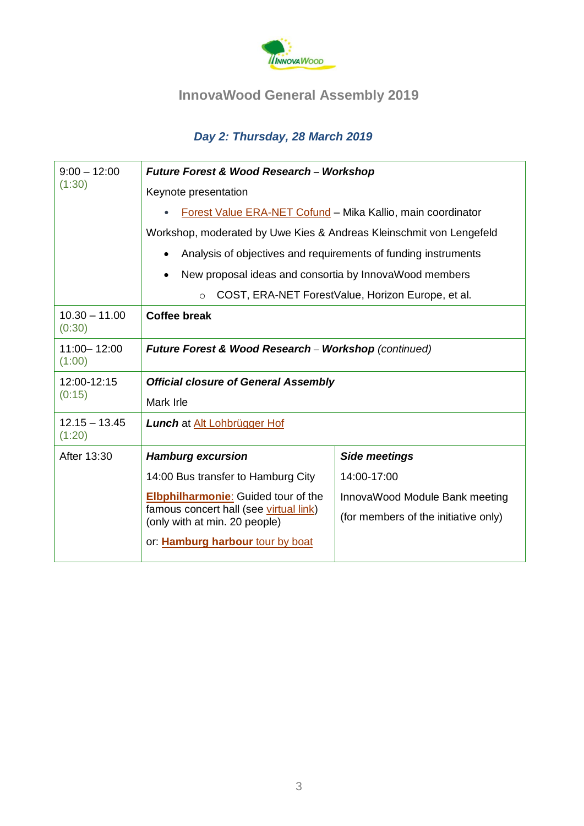

# **InnovaWood General Assembly 2019**

## *Day 2: Thursday, 28 March 2019*

| $9:00 - 12:00$            | <b>Future Forest &amp; Wood Research - Workshop</b>                     |                                      |  |  |
|---------------------------|-------------------------------------------------------------------------|--------------------------------------|--|--|
| (1:30)                    | Keynote presentation                                                    |                                      |  |  |
|                           | Forest Value ERA-NET Cofund - Mika Kallio, main coordinator             |                                      |  |  |
|                           | Workshop, moderated by Uwe Kies & Andreas Kleinschmit von Lengefeld     |                                      |  |  |
|                           | Analysis of objectives and requirements of funding instruments          |                                      |  |  |
|                           | New proposal ideas and consortia by InnovaWood members                  |                                      |  |  |
|                           | COST, ERA-NET ForestValue, Horizon Europe, et al.<br>$\circ$            |                                      |  |  |
| $10.30 - 11.00$<br>(0:30) | <b>Coffee break</b>                                                     |                                      |  |  |
| 11:00 - 12:00<br>(1:00)   | <b>Future Forest &amp; Wood Research - Workshop (continued)</b>         |                                      |  |  |
| 12:00-12:15<br>(0:15)     | <b>Official closure of General Assembly</b>                             |                                      |  |  |
|                           | Mark Irle                                                               |                                      |  |  |
| $12.15 - 13.45$<br>(1:20) | <b>Lunch</b> at Alt Lohbrügger Hof                                      |                                      |  |  |
| After 13:30               | <b>Hamburg excursion</b>                                                | <b>Side meetings</b>                 |  |  |
|                           | 14:00 Bus transfer to Hamburg City                                      | 14:00-17:00                          |  |  |
|                           | <b>Elbphilharmonie:</b> Guided tour of the                              | InnovaWood Module Bank meeting       |  |  |
|                           | famous concert hall (see virtual link)<br>(only with at min. 20 people) | (for members of the initiative only) |  |  |
|                           | or: Hamburg harbour tour by boat                                        |                                      |  |  |